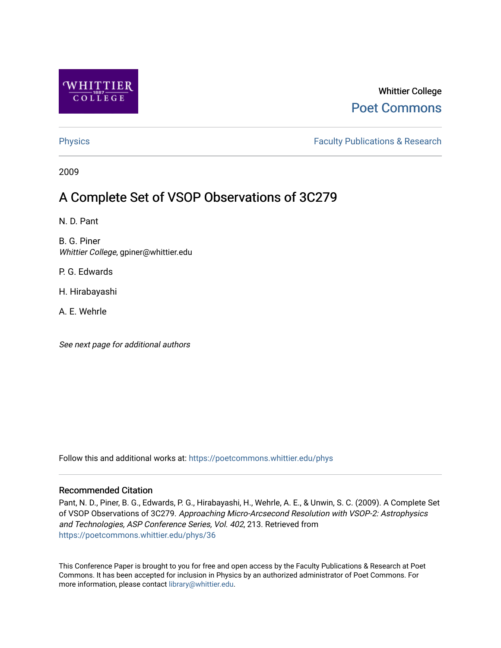

## Whittier College [Poet Commons](https://poetcommons.whittier.edu/)

[Physics](https://poetcommons.whittier.edu/phys) **Faculty Publications & Research Physics Faculty Publications & Research** 

2009

# A Complete Set of VSOP Observations of 3C279

N. D. Pant

B. G. Piner Whittier College, gpiner@whittier.edu

P. G. Edwards

H. Hirabayashi

A. E. Wehrle

See next page for additional authors

Follow this and additional works at: [https://poetcommons.whittier.edu/phys](https://poetcommons.whittier.edu/phys?utm_source=poetcommons.whittier.edu%2Fphys%2F36&utm_medium=PDF&utm_campaign=PDFCoverPages)

### Recommended Citation

Pant, N. D., Piner, B. G., Edwards, P. G., Hirabayashi, H., Wehrle, A. E., & Unwin, S. C. (2009). A Complete Set of VSOP Observations of 3C279. Approaching Micro-Arcsecond Resolution with VSOP-2: Astrophysics and Technologies, ASP Conference Series, Vol. 402, 213. Retrieved from [https://poetcommons.whittier.edu/phys/36](https://poetcommons.whittier.edu/phys/36?utm_source=poetcommons.whittier.edu%2Fphys%2F36&utm_medium=PDF&utm_campaign=PDFCoverPages) 

This Conference Paper is brought to you for free and open access by the Faculty Publications & Research at Poet Commons. It has been accepted for inclusion in Physics by an authorized administrator of Poet Commons. For more information, please contact [library@whittier.edu.](mailto:library@whittier.edu)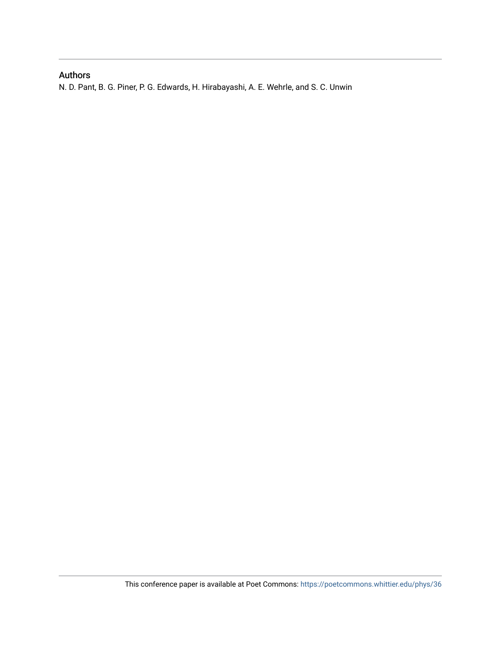## Authors

N. D. Pant, B. G. Piner, P. G. Edwards, H. Hirabayashi, A. E. Wehrle, and S. C. Unwin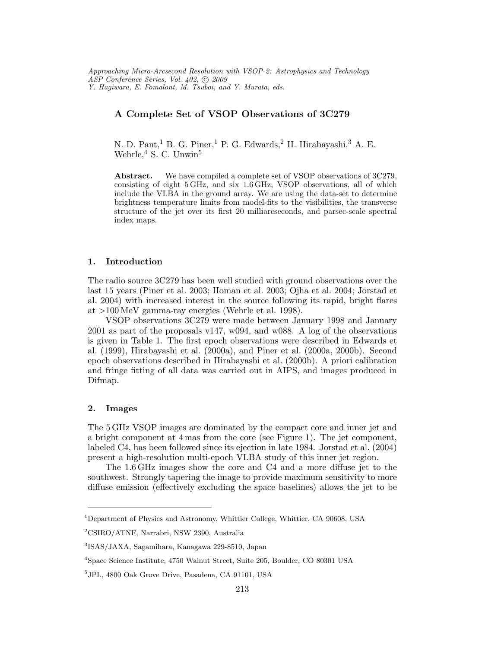Approaching Micro-Arcsecond Resolution with VSOP-2: Astrophysics and Technology ASP Conference Series, Vol. 402, C 2009 Y. Hagiwara, E. Fomalont, M. Tsuboi, and Y. Murata, eds.

#### A Complete Set of VSOP Observations of 3C279

N. D. Pant,<sup>1</sup> B. G. Piner,<sup>1</sup> P. G. Edwards,<sup>2</sup> H. Hirabayashi,<sup>3</sup> A. E. Wehrle,<sup>4</sup> S. C. Unwin<sup>5</sup>

Abstract. We have compiled a complete set of VSOP observations of 3C279, consisting of eight 5GHz, and six 1.6 GHz, VSOP observations, all of which include the VLBA in the ground array. We are using the data-set to determine brightness temperature limits from model-fits to the visibilities, the transverse structure of the jet over its first 20 milliarcseconds, and parsec-scale spectral index maps.

#### 1. Introduction

The radio source 3C279 has been well studied with ground observations over the last 15 years (Piner et al. 2003; Homan et al. 2003; Ojha et al. 2004; Jorstad et al. 2004) with increased interest in the source following its rapid, bright flares at >100 MeV gamma-ray energies (Wehrle et al. 1998).

VSOP observations 3C279 were made between January 1998 and January 2001 as part of the proposals v147, w094, and w088. A log of the observations is given in Table 1. The first epoch observations were described in Edwards et al. (1999), Hirabayashi et al. (2000a), and Piner et al. (2000a, 2000b). Second epoch observations described in Hirabayashi et al. (2000b). A priori calibration and fringe fitting of all data was carried out in AIPS, and images produced in Difmap.

#### 2. Images

The 5 GHz VSOP images are dominated by the compact core and inner jet and a bright component at 4 mas from the core (see Figure 1). The jet component, labeled C4, has been followed since its ejection in late 1984. Jorstad et al. (2004) present a high-resolution multi-epoch VLBA study of this inner jet region.

The 1.6GHz images show the core and C4 and a more diffuse jet to the southwest. Strongly tapering the image to provide maximum sensitivity to more diffuse emission (effectively excluding the space baselines) allows the jet to be

<sup>1</sup>Department of Physics and Astronomy, Whittier College, Whittier, CA 90608, USA

<sup>2</sup>CSIRO/ATNF, Narrabri, NSW 2390, Australia

<sup>3</sup> ISAS/JAXA, Sagamihara, Kanagawa 229-8510, Japan

<sup>4</sup>Space Science Institute, 4750 Walnut Street, Suite 205, Boulder, CO 80301 USA

<sup>5</sup> JPL, 4800 Oak Grove Drive, Pasadena, CA 91101, USA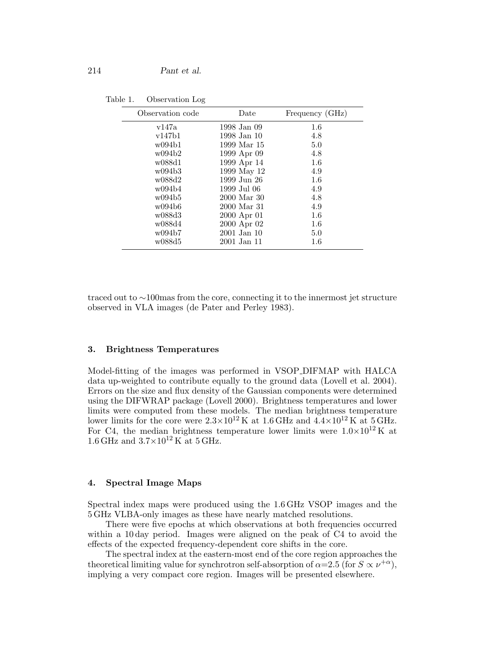| Table 1. | Observation Log |  |
|----------|-----------------|--|
|----------|-----------------|--|

| Observation code | Date            | Frequency (GHz) |
|------------------|-----------------|-----------------|
| v147a            | 1998 Jan 09     | 1.6             |
| v147b1           | 1998 Jan 10     | 4.8             |
| w094b1           | 1999 Mar 15     | 5.0             |
| w094b2           | 1999 Apr 09     | 4.8             |
| w088d1           | 1999 Apr 14     | 1.6             |
| w094b3           | 1999 May 12     | 4.9             |
| w088d2           | 1999 Jun 26     | 1.6             |
| w094b4           | 1999 Jul 06     | 4.9             |
| w094b5           | 2000 Mar 30     | 4.8             |
| w094b6           | 2000 Mar 31     | 4.9             |
| w088d3           | 2000 Apr 01     | 1.6             |
| w088d4           | 2000 Apr 02     | 1.6             |
| w094b7           | $2001$ Jan $10$ | 5.0             |
| w088d5           | 2001 Jan 11     | $1.6\,$         |

traced out to ∼100mas from the core, connecting it to the innermost jet structure observed in VLA images (de Pater and Perley 1983).

#### 3. Brightness Temperatures

Model-fitting of the images was performed in VSOP DIFMAP with HALCA data up-weighted to contribute equally to the ground data (Lovell et al. 2004). Errors on the size and flux density of the Gaussian components were determined using the DIFWRAP package (Lovell 2000). Brightness temperatures and lower limits were computed from these models. The median brightness temperature lower limits for the core were  $2.3 \times 10^{12}$  K at  $1.6$  GHz and  $4.4 \times 10^{12}$  K at  $5$  GHz. For C4, the median brightness temperature lower limits were  $1.0\times10^{12}$  K at 1.6 GHz and  $3.7\times10^{12}$  K at 5 GHz.

#### 4. Spectral Image Maps

Spectral index maps were produced using the 1.6GHz VSOP images and the 5 GHz VLBA-only images as these have nearly matched resolutions.

There were five epochs at which observations at both frequencies occurred within a 10 day period. Images were aligned on the peak of C4 to avoid the effects of the expected frequency-dependent core shifts in the core.

The spectral index at the eastern-most end of the core region approaches the theoretical limiting value for synchrotron self-absorption of  $\alpha = 2.5$  (for  $S \propto \nu^{+\alpha}$ ), implying a very compact core region. Images will be presented elsewhere.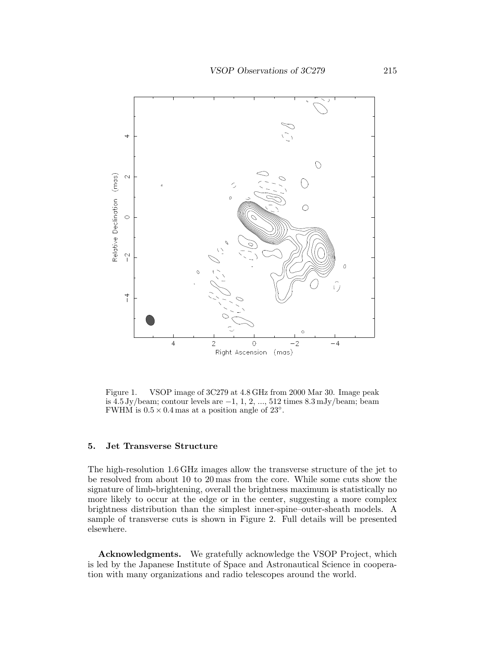

Figure 1. VSOP image of 3C279 at 4.8 GHz from 2000 Mar 30. Image peak is  $4.5 \text{ Jy/beam}$ ; contour levels are  $-1, 1, 2, ..., 512$  times  $8.3 \text{ mJy/beam}$ ; beam FWHM is  $0.5 \times 0.4$  mas at a position angle of 23<sup>°</sup>.

#### 5. Jet Transverse Structure

The high-resolution 1.6 GHz images allow the transverse structure of the jet to be resolved from about 10 to 20 mas from the core. While some cuts show the signature of limb-brightening, overall the brightness maximum is statistically no more likely to occur at the edge or in the center, suggesting a more complex brightness distribution than the simplest inner-spine–outer-sheath models. A sample of transverse cuts is shown in Figure 2. Full details will be presented elsewhere.

Acknowledgments. We gratefully acknowledge the VSOP Project, which is led by the Japanese Institute of Space and Astronautical Science in cooperation with many organizations and radio telescopes around the world.